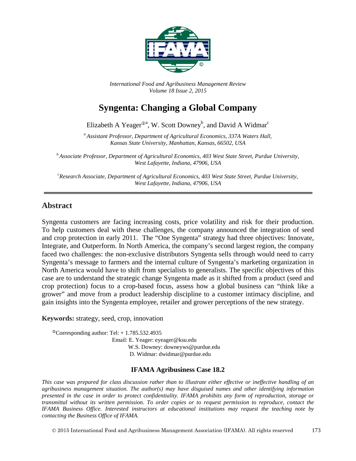

*International Food and Agribusiness Management Review Volume 18 Issue 2, 2015*

# **Syngenta: Changing a Global Company**

Elizabeth A Yeager<sup> $\mathcal{P}^a$ </sup>, W. Scott Downey<sup>b</sup>, and David A Widmar<sup>c</sup>

*<sup>a</sup> Assistant Professor, Department of Agricultural Economics, 337A Waters Hall, Kansas State University, Manhattan, Kansas, 66502, USA*

*<sup>b</sup> Associate Professor, Department of Agricultural Economics, 403 West State Street, Purdue University, West Lafayette, Indiana, 47906, USA*

*c Research Associate, Department of Agricultural Economics, 403 West State Street, Purdue University, West Lafayette, Indiana, 47906, USA*

### **Abstract**

Syngenta customers are facing increasing costs, price volatility and risk for their production. To help customers deal with these challenges, the company announced the integration of seed and crop protection in early 2011. The "One Syngenta" strategy had three objectives: Innovate, Integrate, and Outperform. In North America, the company's second largest region, the company faced two challenges: the non-exclusive distributors Syngenta sells through would need to carry Syngenta's message to farmers and the internal culture of Syngenta's marketing organization in North America would have to shift from specialists to generalists. The specific objectives of this case are to understand the strategic change Syngenta made as it shifted from a product (seed and crop protection) focus to a crop-based focus, assess how a global business can "think like a grower" and move from a product leadership discipline to a customer intimacy discipline, and gain insights into the Syngenta employee, retailer and grower perceptions of the new strategy.

#### **Keywords:** strategy, seed, crop, innovation

 $^{\circ}$ Corresponding author: Tel: + 1.785.532.4935 Email: E. Yeager: eyeager@ksu.edu W.S. Downey: downeyws@purdue.edu D. Widmar: dwidmar@purdue.edu

#### **IFAMA Agribusiness Case 18.2**

*This case was prepared for class discussion rather than to illustrate either effective or ineffective handling of an agribusiness management situation. The author(s) may have disguised names and other identifying information presented in the case in order to protect confidentiality. IFAMA prohibits any form of reproduction, storage or transmittal without its written permission. To order copies or to request permission to reproduce, contact the IFAMA Business Office. Interested instructors at educational institutions may request the teaching note by contacting the Business Office of IFAMA.*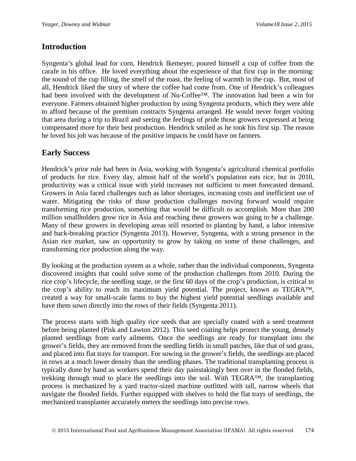### **Introduction**

Syngenta's global lead for corn, Hendrick Ikemeyer, poured himself a cup of coffee from the carafe in his office. He loved everything about the experience of that first cup in the morning: the sound of the cup filling, the smell of the roast, the feeling of warmth in the cup. But, most of all, Hendrick liked the story of where the coffee had come from. One of Hendrick's colleagues had been involved with the development of Nu-Coffee™. The innovation had been a win for everyone. Farmers obtained higher production by using Syngenta products, which they were able to afford because of the premium contracts Syngenta arranged. He would never forget visiting that area during a trip to Brazil and seeing the feelings of pride those growers expressed at being compensated more for their best production. Hendrick smiled as he took his first sip. The reason he loved his job was because of the positive impacts he could have on farmers.

## **Early Success**

Hendrick's prior role had been in Asia, working with Syngenta's agricultural chemical portfolio of products for rice. Every day, almost half of the world's population eats rice, but in 2010, productivity was a critical issue with yield increases not sufficient to meet forecasted demand. Growers in Asia faced challenges such as labor shortages, increasing costs and inefficient use of water. Mitigating the risks of those production challenges moving forward would require transforming rice production, something that would be difficult to accomplish. More than 200 million smallholders grow rice in Asia and reaching these growers was going to be a challenge. Many of these growers in developing areas still resorted to planting by hand, a labor intensive and back-breaking practice (Syngenta 2013). However, Syngenta, with a strong presence in the Asian rice market, saw an opportunity to grow by taking on some of those challenges, and transforming rice production along the way.

By looking at the production system as a whole, rather than the individual components, Syngenta discovered insights that could solve some of the production challenges from 2010. During the rice crop's lifecycle, the seedling stage, or the first 60 days of the crop's production, is critical to the crop's ability to reach its maximum yield potential. The project, known as TEGRA™, created a way for small-scale farms to buy the highest yield potential seedlings available and have them sown directly into the rows of their fields (Syngenta 2011).

The process starts with high quality rice seeds that are specially coated with a seed treatment before being planted (Pisk and Lawton 2012). This seed coating helps protect the young, densely planted seedlings from early ailments. Once the seedlings are ready for transplant into the grower's fields, they are removed from the seedling fields in small patches, like that of sod grass, and placed into flat trays for transport. For sowing in the grower's fields, the seedlings are placed in rows at a much lower density than the seedling phases. The traditional transplanting process is typically done by hand as workers spend their day painstakingly bent over in the flooded fields, trekking through mud to place the seedlings into the soil. With TEGRA™, the transplanting process is mechanized by a yard tractor-sized machine outfitted with tall, narrow wheels that navigate the flooded fields. Further equipped with shelves to hold the flat trays of seedlings, the mechanized transplanter accurately meters the seedlings into precise rows.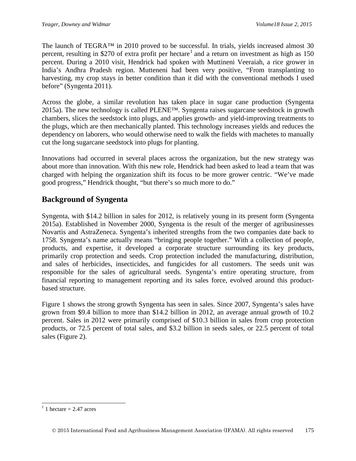The launch of TEGRA™ in 2010 proved to be successful. In trials, yields increased almost 30 percent, resulting in \$270 of extra profit per hectare<sup>[1](#page-2-0)</sup> and a return on investment as high as 150 percent. During a 2010 visit, Hendrick had spoken with Muttineni Veeraiah, a rice grower in India's Andhra Pradesh region. Mutteneni had been very positive, "From transplanting to harvesting, my crop stays in better condition than it did with the conventional methods I used before" (Syngenta 2011).

Across the globe, a similar revolution has taken place in sugar cane production (Syngenta 2015a). The new technology is called PLENE™. Syngenta raises sugarcane seedstock in growth chambers, slices the seedstock into plugs, and applies growth- and yield-improving treatments to the plugs, which are then mechanically planted. This technology increases yields and reduces the dependency on laborers, who would otherwise need to walk the fields with machetes to manually cut the long sugarcane seedstock into plugs for planting.

Innovations had occurred in several places across the organization, but the new strategy was about more than innovation. With this new role, Hendrick had been asked to lead a team that was charged with helping the organization shift its focus to be more grower centric. "We've made good progress," Hendrick thought, "but there's so much more to do."

## **Background of Syngenta**

Syngenta, with \$14.2 billion in sales for 2012, is relatively young in its present form (Syngenta 2015a). Established in November 2000, Syngenta is the result of the merger of agribusinesses Novartis and AstraZeneca. Syngenta's inherited strengths from the two companies date back to 1758. Syngenta's name actually means "bringing people together." With a collection of people, products, and expertise, it developed a corporate structure surrounding its key products, primarily crop protection and seeds. Crop protection included the manufacturing, distribution, and sales of herbicides, insecticides, and fungicides for all customers. The seeds unit was responsible for the sales of agricultural seeds. Syngenta's entire operating structure, from financial reporting to management reporting and its sales force, evolved around this productbased structure.

Figure 1 shows the strong growth Syngenta has seen in sales. Since 2007, Syngenta's sales have grown from \$9.4 billion to more than \$14.2 billion in 2012, an average annual growth of 10.2 percent. Sales in 2012 were primarily comprised of \$10.3 billion in sales from crop protection products, or 72.5 percent of total sales, and \$3.2 billion in seeds sales, or 22.5 percent of total sales (Figure 2).

<span id="page-2-0"></span> $1$  hectare = 2.47 acres  $\overline{a}$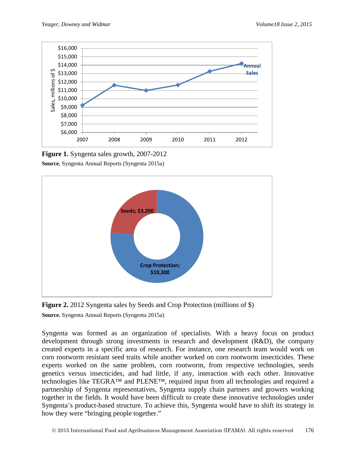

**Figure 1.** Syngenta sales growth, 2007-2012 **Source.** Syngenta Annual Reports (Syngenta 2015a)



**Figure 2.** 2012 Syngenta sales by Seeds and Crop Protection (millions of \$) **Source.** Syngenta Annual Reports (Syngenta 2015a)

Syngenta was formed as an organization of specialists. With a heavy focus on product development through strong investments in research and development (R&D), the company created experts in a specific area of research. For instance, one research team would work on corn rootworm resistant seed traits while another worked on corn rootworm insecticides. These experts worked on the same problem, corn rootworm, from respective technologies, seeds genetics versus insecticides, and had little, if any, interaction with each other. Innovative technologies like TEGRA™ and PLENE™, required input from all technologies and required a partnership of Syngenta representatives, Syngenta supply chain partners and growers working together in the fields. It would have been difficult to create these innovative technologies under Syngenta's product-based structure. To achieve this, Syngenta would have to shift its strategy in how they were "bringing people together."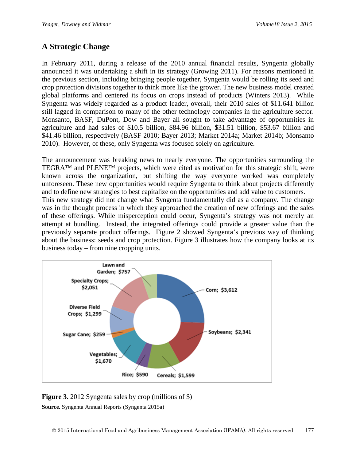## **A Strategic Change**

In February 2011, during a release of the 2010 annual financial results, Syngenta globally announced it was undertaking a shift in its strategy (Growing 2011). For reasons mentioned in the previous section, including bringing people together, Syngenta would be rolling its seed and crop protection divisions together to think more like the grower. The new business model created global platforms and centered its focus on crops instead of products (Winters 2013). While Syngenta was widely regarded as a product leader, overall, their 2010 sales of \$11.641 billion still lagged in comparison to many of the other technology companies in the agriculture sector. Monsanto, BASF, DuPont, Dow and Bayer all sought to take advantage of opportunities in agriculture and had sales of \$10.5 billion, \$84.96 billion, \$31.51 billion, \$53.67 billion and \$41.46 billion, respectively (BASF 2010; Bayer 2013; Market 2014a; Market 2014b; Monsanto 2010). However, of these, only Syngenta was focused solely on agriculture.

The announcement was breaking news to nearly everyone. The opportunities surrounding the TEGRA™ and PLENE™ projects, which were cited as motivation for this strategic shift, were known across the organization, but shifting the way everyone worked was completely unforeseen. These new opportunities would require Syngenta to think about projects differently and to define new strategies to best capitalize on the opportunities and add value to customers. This new strategy did not change what Syngenta fundamentally did as a company. The change was in the thought process in which they approached the creation of new offerings and the sales of these offerings. While misperception could occur, Syngenta's strategy was not merely an attempt at bundling. Instead, the integrated offerings could provide a greater value than the previously separate product offerings. Figure 2 showed Syngenta's previous way of thinking about the business: seeds and crop protection. Figure 3 illustrates how the company looks at its business today – from nine cropping units.



**Figure 3.** 2012 Syngenta sales by crop (millions of \$) **Source.** Syngenta Annual Reports (Syngenta 2015a)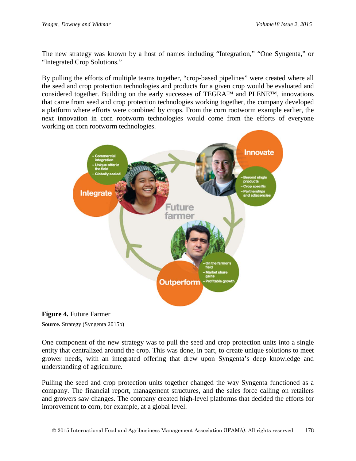The new strategy was known by a host of names including "Integration," "One Syngenta," or "Integrated Crop Solutions."

By pulling the efforts of multiple teams together, "crop-based pipelines" were created where all the seed and crop protection technologies and products for a given crop would be evaluated and considered together. Building on the early successes of TEGRA™ and PLENE™, innovations that came from seed and crop protection technologies working together, the company developed a platform where efforts were combined by crops. From the corn rootworm example earlier, the next innovation in corn rootworm technologies would come from the efforts of everyone working on corn rootworm technologies.





One component of the new strategy was to pull the seed and crop protection units into a single entity that centralized around the crop. This was done, in part, to create unique solutions to meet grower needs, with an integrated offering that drew upon Syngenta's deep knowledge and understanding of agriculture.

Pulling the seed and crop protection units together changed the way Syngenta functioned as a company. The financial report, management structures, and the sales force calling on retailers and growers saw changes. The company created high-level platforms that decided the efforts for improvement to corn, for example, at a global level.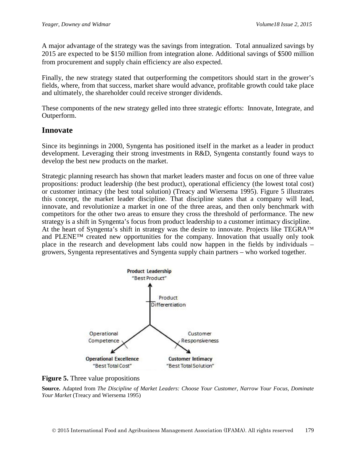A major advantage of the strategy was the savings from integration. Total annualized savings by 2015 are expected to be \$150 million from integration alone. Additional savings of \$500 million from procurement and supply chain efficiency are also expected.

Finally, the new strategy stated that outperforming the competitors should start in the grower's fields, where, from that success, market share would advance, profitable growth could take place and ultimately, the shareholder could receive stronger dividends.

These components of the new strategy gelled into three strategic efforts: Innovate, Integrate, and Outperform.

### **Innovate**

Since its beginnings in 2000, Syngenta has positioned itself in the market as a leader in product development. Leveraging their strong investments in R&D, Syngenta constantly found ways to develop the best new products on the market.

Strategic planning research has shown that market leaders master and focus on one of three value propositions: product leadership (the best product), operational efficiency (the lowest total cost) or customer intimacy (the best total solution) (Treacy and Wiersema 1995). Figure 5 illustrates this concept, the market leader discipline. That discipline states that a company will lead, innovate, and revolutionize a market in one of the three areas, and then only benchmark with competitors for the other two areas to ensure they cross the threshold of performance. The new strategy is a shift in Syngenta's focus from product leadership to a customer intimacy discipline. At the heart of Syngenta's shift in strategy was the desire to innovate. Projects like TEGRA™ and PLENE™ created new opportunities for the company. Innovation that usually only took place in the research and development labs could now happen in the fields by individuals – growers, Syngenta representatives and Syngenta supply chain partners – who worked together.



**Figure 5.** Three value propositions

**Source.** Adapted from *The Discipline of Market Leaders: Choose Your Customer, Narrow Your Focus, Dominate Your Market* (Treacy and Wiersema 1995)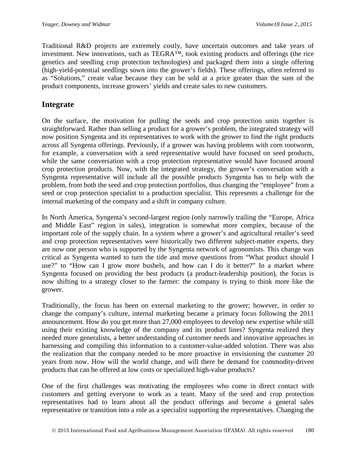Traditional R&D projects are extremely costly, have uncertain outcomes and take years of investment. New innovations, such as TEGRA™, took existing products and offerings (the rice genetics and seedling crop protection technologies) and packaged them into a single offering (high-yield-potential seedlings sown into the grower's fields). These offerings, often referred to as "Solutions," create value because they can be sold at a price greater than the sum of the product components, increase growers' yields and create sales to new customers.

### **Integrate**

On the surface, the motivation for pulling the seeds and crop protection units together is straightforward. Rather than selling a product for a grower's problem, the integrated strategy will now position Syngenta and its representatives to work with the grower to find the right products across all Syngenta offerings. Previously, if a grower was having problems with corn rootworm, for example, a conversation with a seed representative would have focused on seed products, while the same conversation with a crop protection representative would have focused around crop protection products. Now, with the integrated strategy, the grower's conversation with a Syngenta representative will include all the possible products Syngenta has to help with the problem, from both the seed and crop protection portfolios, thus changing the "employee" from a seed or crop protection specialist to a production specialist. This represents a challenge for the internal marketing of the company and a shift in company culture.

In North America, Syngenta's second-largest region (only narrowly trailing the "Europe, Africa and Middle East" region in sales), integration is somewhat more complex, because of the important role of the supply chain. In a system where a grower's and agricultural retailer's seed and crop protection representatives were historically two different subject-matter experts, they are now one person who is supported by the Syngenta network of agronomists. This change was critical as Syngenta wanted to turn the tide and move questions from "What product should I use?" to "How can I grow more bushels, and how can I do it better?" In a market where Syngenta focused on providing the best products (a product-leadership position), the focus is now shifting to a strategy closer to the farmer: the company is trying to think more like the grower.

Traditionally, the focus has been on external marketing to the grower; however, in order to change the company's culture, internal marketing became a primary focus following the 2011 announcement. How do you get more than 27,000 employees to develop new expertise while still using their existing knowledge of the company and its product lines? Syngenta realized they needed more generalists, a better understanding of customer needs and innovative approaches in harnessing and compiling this information to a customer-value-added solution. There was also the realization that the company needed to be more proactive in envisioning the customer 20 years from now. How will the world change, and will there be demand for commodity-driven products that can be offered at low costs or specialized high-value products?

One of the first challenges was motivating the employees who come in direct contact with customers and getting everyone to work as a team. Many of the seed and crop protection representatives had to learn about all the product offerings and become a general sales representative or transition into a role as a specialist supporting the representatives. Changing the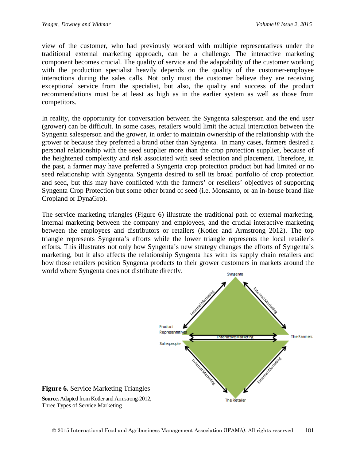view of the customer, who had previously worked with multiple representatives under the traditional external marketing approach, can be a challenge. The interactive marketing component becomes crucial. The quality of service and the adaptability of the customer working with the production specialist heavily depends on the quality of the customer-employee interactions during the sales calls. Not only must the customer believe they are receiving exceptional service from the specialist, but also, the quality and success of the product recommendations must be at least as high as in the earlier system as well as those from competitors.

In reality, the opportunity for conversation between the Syngenta salesperson and the end user (grower) can be difficult. In some cases, retailers would limit the actual interaction between the Syngenta salesperson and the grower, in order to maintain ownership of the relationship with the grower or because they preferred a brand other than Syngenta. In many cases, farmers desired a personal relationship with the seed supplier more than the crop protection supplier, because of the heightened complexity and risk associated with seed selection and placement. Therefore, in the past, a farmer may have preferred a Syngenta crop protection product but had limited or no seed relationship with Syngenta. Syngenta desired to sell its broad portfolio of crop protection and seed, but this may have conflicted with the farmers' or resellers' objectives of supporting Syngenta Crop Protection but some other brand of seed (i.e. Monsanto, or an in-house brand like Cropland or DynaGro).

The service marketing triangles (Figure 6) illustrate the traditional path of external marketing, internal marketing between the company and employees, and the crucial interactive marketing between the employees and distributors or retailers (Kotler and Armstrong 2012). The top triangle represents Syngenta's efforts while the lower triangle represents the local retailer's efforts. This illustrates not only how Syngenta's new strategy changes the efforts of Syngenta's marketing, but it also affects the relationship Syngenta has with its supply chain retailers and how those retailers position Syngenta products to their grower customers in markets around the world where Syngenta does not distribute directly.

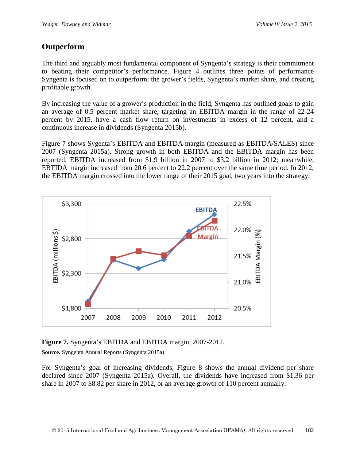## **Outperform**

The third and arguably most fundamental component of Syngenta's strategy is their commitment to beating their competitor's performance. Figure 4 outlines three points of performance Syngenta is focused on to outperform: the grower's fields, Syngenta's market share, and creating profitable growth.

By increasing the value of a grower's production in the field, Syngenta has outlined goals to gain an average of 0.5 percent market share, targeting an EBITDA margin in the range of 22-24 percent by 2015, have a cash flow return on investments in excess of 12 percent, and a continuous increase in dividends (Syngenta 2015b).

Figure 7 shows Sygenta's EBITDA and EBITDA margin (measured as EBITDA/SALES) since 2007 (Syngenta 2015a). Strong growth in both EBITDA and the EBITDA margin has been reported. EBITDA increased from \$1.9 billion in 2007 to \$3.2 billion in 2012; meanwhile, EBTIDA margin increased from 20.6 percent to 22.2 percent over the same time period. In 2012, the EBITDA margin crossed into the lower range of their 2015 goal, two years into the strategy.



**Figure 7.** Syngenta's EBITDA and EBITDA margin, 2007-2012.

**Source.** Syngenta Annual Reports (Syngenta 2015a)

For Syngenta's goal of increasing dividends, Figure 8 shows the annual dividend per share declared since 2007 (Syngenta 2015a). Overall, the dividends have increased from \$1.36 per share in 2007 to \$8.82 per share in 2012, or an average growth of 110 percent annually.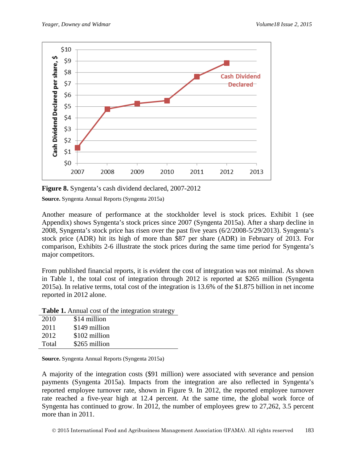

**Figure 8.** Syngenta's cash dividend declared, 2007-2012

**Source.** Syngenta Annual Reports (Syngenta 2015a)

Another measure of performance at the stockholder level is stock prices. Exhibit 1 (see Appendix) shows Syngenta's stock prices since 2007 (Syngenta 2015a). After a sharp decline in 2008, Syngenta's stock price has risen over the past five years (6/2/2008-5/29/2013). Syngenta's stock price (ADR) hit its high of more than \$87 per share (ADR) in February of 2013. For comparison, Exhibits 2-6 illustrate the stock prices during the same time period for Syngenta's major competitors.

From published financial reports, it is evident the cost of integration was not minimal. As shown in Table 1, the total cost of integration through 2012 is reported at \$265 million (Syngenta 2015a). In relative terms, total cost of the integration is 13.6% of the \$1.875 billion in net income reported in 2012 alone.

**Table 1.** Annual cost of the integration strategy

| 2010  | \$14 million  |
|-------|---------------|
| 2011  | \$149 million |
| 2012  | \$102 million |
| Total | \$265 million |

**Source.** Syngenta Annual Reports (Syngenta 2015a)

A majority of the integration costs (\$91 million) were associated with severance and pension payments (Syngenta 2015a). Impacts from the integration are also reflected in Syngenta's reported employee turnover rate, shown in Figure 9. In 2012, the reported employee turnover rate reached a five-year high at 12.4 percent. At the same time, the global work force of Syngenta has continued to grow. In 2012, the number of employees grew to 27,262, 3.5 percent more than in 2011.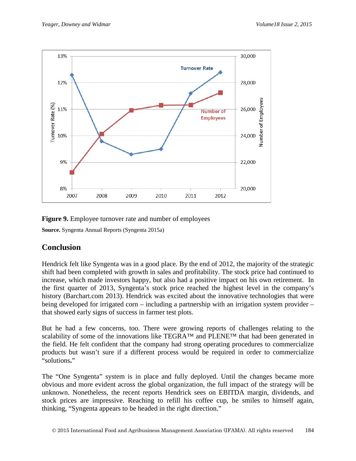

#### **Figure 9.** Employee turnover rate and number of employees

**Source.** Syngenta Annual Reports (Syngenta 2015a)

## **Conclusion**

Hendrick felt like Syngenta was in a good place. By the end of 2012, the majority of the strategic shift had been completed with growth in sales and profitability. The stock price had continued to increase, which made investors happy, but also had a positive impact on his own retirement. In the first quarter of 2013, Syngenta's stock price reached the highest level in the company's history (Barchart.com 2013). Hendrick was excited about the innovative technologies that were being developed for irrigated corn – including a partnership with an irrigation system provider – that showed early signs of success in farmer test plots.

But he had a few concerns, too. There were growing reports of challenges relating to the scalability of some of the innovations like TEGRA™ and PLENE™ that had been generated in the field. He felt confident that the company had strong operating procedures to commercialize products but wasn't sure if a different process would be required in order to commercialize "solutions**.**"

The "One Syngenta" system is in place and fully deployed. Until the changes became more obvious and more evident across the global organization, the full impact of the strategy will be unknown. Nonetheless, the recent reports Hendrick sees on EBITDA margin, dividends, and stock prices are impressive. Reaching to refill his coffee cup, he smiles to himself again, thinking, "Syngenta appears to be headed in the right direction."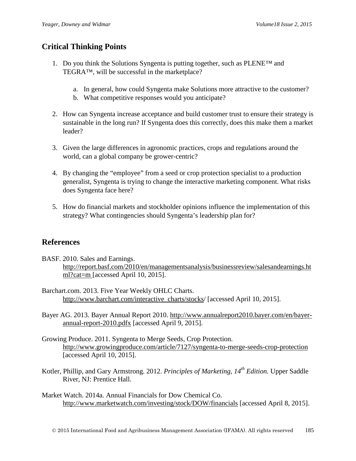## **Critical Thinking Points**

- 1. Do you think the Solutions Syngenta is putting together, such as  $\text{PLENETM}$  and TEGRA™, will be successful in the marketplace?
	- a. In general, how could Syngenta make Solutions more attractive to the customer?
	- b. What competitive responses would you anticipate?
- 2. How can Syngenta increase acceptance and build customer trust to ensure their strategy is sustainable in the long run? If Syngenta does this correctly, does this make them a market leader?
- 3. Given the large differences in agronomic practices, crops and regulations around the world, can a global company be grower-centric?
- 4. By changing the "employee" from a seed or crop protection specialist to a production generalist, Syngenta is trying to change the interactive marketing component. What risks does Syngenta face here?
- 5. How do financial markets and stockholder opinions influence the implementation of this strategy? What contingencies should Syngenta's leadership plan for?

### **References**

- BASF. 2010. Sales and Earnings. [http://report.basf.com/2010/en/managementsanalysis/businessreview/salesandearnings.ht](http://report.basf.com/2010/en/managementsanalysis/businessreview/salesandearnings.html?cat=m) [ml?cat=m](http://report.basf.com/2010/en/managementsanalysis/businessreview/salesandearnings.html?cat=m) [accessed April 10, 2015].
- Barchart.com. 2013. Five Year Weekly OHLC Charts. http://www.barchart.com/interactive\_charts/stocks/ [accessed April 10, 2015].
- Bayer AG. 2013. Bayer Annual Report 2010. [http://www.annualreport2010.bayer.com/en/bayer](http://www.annualreport2010.bayer.com/en/bayer-annual-report-2010.pdfx)[annual-report-2010.pdfx](http://www.annualreport2010.bayer.com/en/bayer-annual-report-2010.pdfx) [accessed April 9, 2015].
- Growing Produce. 2011. Syngenta to Merge Seeds, Crop Protection. <http://www.growingproduce.com/article/7127/syngenta-to-merge-seeds-crop-protection> [accessed April 10, 2015].
- Kotler, Phillip, and Gary Armstrong. 2012. *Principles of Marketing, 14th Edition.* Upper Saddle River, NJ: Prentice Hall.
- Market Watch. 2014a. Annual Financials for Dow Chemical Co. <http://www.marketwatch.com/investing/stock/DOW/financials> [accessed April 8, 2015].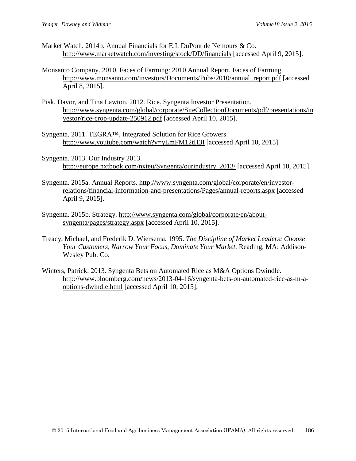- Market Watch. 2014b. Annual Financials for E.I. DuPont de Nemours & Co. <http://www.marketwatch.com/investing/stock/DD/financials> [accessed April 9, 2015].
- Monsanto Company. 2010. Faces of Farming: 2010 Annual Report*.* Faces of Farming. [http://www.monsanto.com/investors/Documents/Pubs/2010/annual\\_report.pdf](http://www.monsanto.com/investors/Documents/Pubs/2010/annual_report.pdf) [accessed April 8, 2015].
- Pisk, Davor, and Tina Lawton. 2012. Rice. Syngenta Investor Presentation. [http://www.syngenta.com/global/corporate/SiteCollectionDocuments/pdf/presentations/in](http://www.syngenta.com/global/corporate/SiteCollectionDocuments/pdf/presentations/investor/rice-crop-update-250912.pdf) [vestor/rice-crop-update-250912.pdf](http://www.syngenta.com/global/corporate/SiteCollectionDocuments/pdf/presentations/investor/rice-crop-update-250912.pdf) [accessed April 10, 2015].
- Syngenta. 2011. TEGRA™, Integrated Solution for Rice Growers. <http://www.youtube.com/watch?v=yLmFM12tH3I> [accessed April 10, 2015].
- Syngenta. 2013. Our Industry 2013. [http://europe.nxtbook.com/nxteu/Syngenta/ourindustry\\_2013/](http://europe.nxtbook.com/nxteu/Syngenta/ourindustry_2013/) [accessed April 10, 2015].
- Syngenta. 2015a. Annual Reports. [http://www.syngenta.com/global/corporate/en/investor](http://www.syngenta.com/global/corporate/en/investor-relations/financial-information-and-presentations/Pages/annual-reports.aspx)[relations/financial-information-and-presentations/Pages/annual-reports.aspx](http://www.syngenta.com/global/corporate/en/investor-relations/financial-information-and-presentations/Pages/annual-reports.aspx) [accessed April 9, 2015].
- Syngenta. 2015b. Strategy. [http://www.syngenta.com/global/corporate/en/about](http://www.syngenta.com/global/corporate/en/about-syngenta/pages/strategy.aspx)[syngenta/pages/strategy.aspx](http://www.syngenta.com/global/corporate/en/about-syngenta/pages/strategy.aspx) [accessed April 10, 2015].
- Treacy, Michael, and Frederik D. Wiersema. 1995. *The Discipline of Market Leaders: Choose Your Customers, Narrow Your Focus, Dominate Your Market.* Reading, MA: Addison-Wesley Pub. Co.
- Winters, Patrick. 2013. Syngenta Bets on Automated Rice as M&A Options Dwindle. [http://www.bloomberg.com/news/2013-04-16/syngenta-bets-on-automated-rice-as-m-a](http://www.bloomberg.com/news/2013-04-16/syngenta-bets-on-automated-rice-as-m-a-options-dwindle.html)[options-dwindle.html](http://www.bloomberg.com/news/2013-04-16/syngenta-bets-on-automated-rice-as-m-a-options-dwindle.html) [accessed April 10, 2015].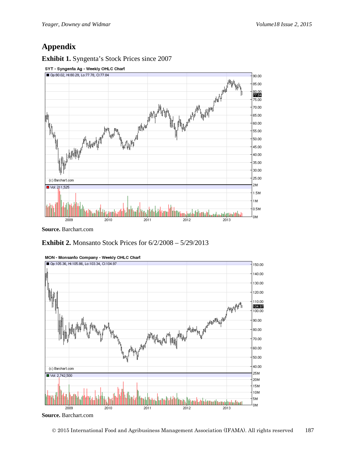## **Appendix**

**Exhibit 1.** Syngenta's Stock Prices since 2007



**Source.** Barchart.com

**Exhibit 2.** Monsanto Stock Prices for 6/2/2008 – 5/29/2013



MON - Monsanto Company - Weekly OHLC Chart

**Source.** Barchart.com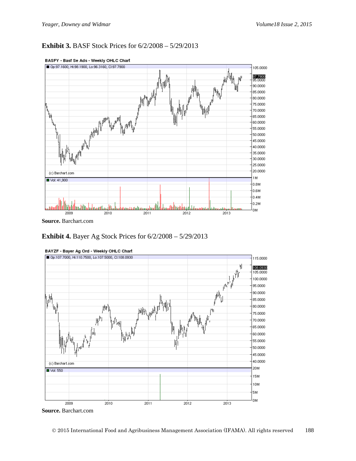#### **Exhibit 3.** BASF Stock Prices for 6/2/2008 – 5/29/2013



#### BASFY - Bast Se Ads - Weekly OHLC Chart

**Exhibit 4.** Bayer Ag Stock Prices for 6/2/2008 – 5/29/2013



BAYZF - Bayer Ag Ord - Weekly OHLC Chart